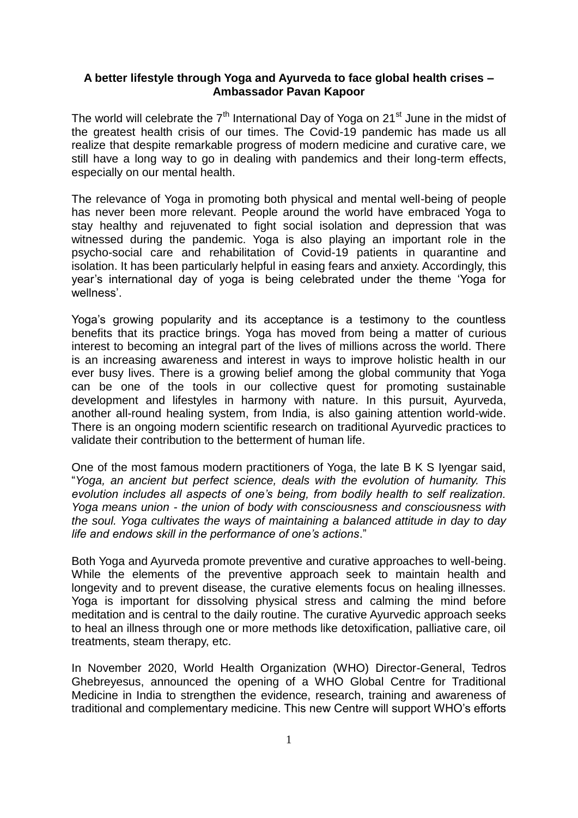## **A better lifestyle through Yoga and Ayurveda to face global health crises – Ambassador Pavan Kapoor**

The world will celebrate the  $7<sup>th</sup>$  International Day of Yoga on 21<sup>st</sup> June in the midst of the greatest health crisis of our times. The Covid-19 pandemic has made us all realize that despite remarkable progress of modern medicine and curative care, we still have a long way to go in dealing with pandemics and their long-term effects, especially on our mental health.

The relevance of Yoga in promoting both physical and mental well-being of people has never been more relevant. People around the world have embraced Yoga to stay healthy and rejuvenated to fight social isolation and depression that was witnessed during the pandemic. Yoga is also playing an important role in the psycho-social care and rehabilitation of Covid-19 patients in quarantine and isolation. It has been particularly helpful in easing fears and anxiety. Accordingly, this year"s international day of yoga is being celebrated under the theme "Yoga for wellness'.

Yoga"s growing popularity and its acceptance is a testimony to the countless benefits that its practice brings. Yoga has moved from being a matter of curious interest to becoming an integral part of the lives of millions across the world. There is an increasing awareness and interest in ways to improve holistic health in our ever busy lives. There is a growing belief among the global community that Yoga can be one of the tools in our collective quest for promoting sustainable development and lifestyles in harmony with nature. In this pursuit, Ayurveda, another all-round healing system, from India, is also gaining attention world-wide. There is an ongoing modern scientific research on traditional Ayurvedic practices to validate their contribution to the betterment of human life.

One of the most famous modern practitioners of Yoga, the late B K S Iyengar said, "*Yoga, an ancient but perfect science, deals with the evolution of humanity. This evolution includes all aspects of one's being, from bodily health to self realization. Yoga means union - the union of body with consciousness and consciousness with the soul. Yoga cultivates the ways of maintaining a balanced attitude in day to day life and endows skill in the performance of one's actions*."

Both Yoga and Ayurveda promote preventive and curative approaches to well-being. While the elements of the preventive approach seek to maintain health and longevity and to prevent disease, the curative elements focus on healing illnesses. Yoga is important for dissolving physical stress and calming the mind before meditation and is central to the daily routine. The curative Ayurvedic approach seeks to heal an illness through one or more methods like detoxification, palliative care, oil treatments, steam therapy, etc.

In November 2020, World Health Organization (WHO) Director-General, Tedros Ghebreyesus, announced the opening of a WHO Global Centre for Traditional Medicine in India to strengthen the evidence, research, training and awareness of traditional and complementary medicine. This new Centre will support WHO"s efforts